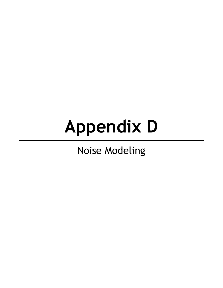# **Appendix D**

# Noise Modeling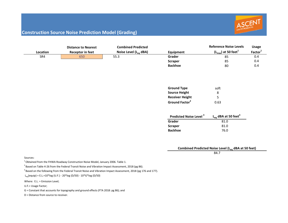

# **Construction Source Noise Prediction Model (Grading)**

|          | <b>Distance to Nearest</b> | <b>Combined Predicted</b>  |                | <b>Reference Noise Levels</b>              | <b>Usage</b>  |
|----------|----------------------------|----------------------------|----------------|--------------------------------------------|---------------|
| Location | <b>Receptor in feet</b>    | Noise Level $(L_{eq}$ dBA) | Equipment      | $(L_{\text{max}})$ at 50 feet <sup>1</sup> | <b>Factor</b> |
| SR4      | 650                        | 55.3                       | Grader         | 85                                         | 0.4           |
|          |                            |                            | <b>Scraper</b> | 85                                         | 0.4           |
|          |                            |                            | <b>Backhoe</b> | 80                                         | 0.4           |

| <b>Ground Type</b>         | soft |
|----------------------------|------|
| <b>Source Height</b>       | 8    |
| <b>Receiver Height</b>     | 5    |
| Ground Factor <sup>2</sup> | 0.63 |

| Predicted Noise Level <sup>3</sup> | $L_{eq}$ dBA at 50 feet <sup>3</sup> |
|------------------------------------|--------------------------------------|
| Grader                             | 81.0                                 |
| Scraper                            | 81.0                                 |
| Backhoe                            | 76.0                                 |

**Combined Predicted Noise Level (Leq dBA at <sup>50</sup> feet)**

84.7

Sources:

 $^1$ Obtained from the FHWA Roadway Construction Noise Model, January 2006. Table 1.

<sup>2</sup> Based on Table 4-26 from the Federal Transit Noise and Vibration Impact Assessment, 2018 (pg 86).

 $^3$  Based on the following from the Federal Transit Noise and Vibration Impact Assessment, 2018 (pg 176 and 177).

Leq(equip) <sup>=</sup> E.L.+10\*log (U.F.) ‐ 20\*log (D/50) ‐ 10\*G\*log (D/50)

Where: E.L. <sup>=</sup> Emission Level;

U.F.= Usage Factor;

G <sup>=</sup> Constant that accounts for topography and ground effects (FTA 2018: pg 86); and

D <sup>=</sup> Distance from source to receiver.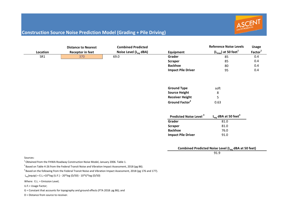

# **Construction Source Noise Prediction Model (Grading <sup>+</sup> Pile Driving)**

|          | <b>Distance to Nearest</b> | <b>Combined Predicted</b>         |                                          | <b>Reference Noise Levels</b>                                   | <b>Usage</b>        |
|----------|----------------------------|-----------------------------------|------------------------------------------|-----------------------------------------------------------------|---------------------|
| Location | <b>Receptor in feet</b>    | Noise Level (L <sub>eg</sub> dBA) | Equipment                                | $(L_{\text{max}})$ at 50 feet <sup>1</sup>                      | Factor <sup>1</sup> |
| SR1      | 370                        | 69.0                              | Grader                                   | 85                                                              | 0.4                 |
|          |                            |                                   | <b>Scraper</b>                           | 85                                                              | 0.4                 |
|          |                            |                                   | <b>Backhoe</b>                           | 80                                                              | 0.4                 |
|          |                            |                                   | <b>Impact Pile Driver</b>                | 95                                                              | 0.4                 |
|          |                            |                                   |                                          |                                                                 |                     |
|          |                            |                                   | <b>Ground Type</b>                       | soft                                                            |                     |
|          |                            |                                   | <b>Source Height</b>                     | 8                                                               |                     |
|          |                            |                                   | <b>Receiver Height</b>                   | 5                                                               |                     |
|          |                            |                                   | Ground Factor <sup>2</sup>               | 0.63                                                            |                     |
|          |                            |                                   | <b>Predicted Noise Level<sup>3</sup></b> | $L_{eq}$ dBA at 50 feet <sup>3</sup>                            |                     |
|          |                            |                                   | Grader                                   | 81.0                                                            |                     |
|          |                            |                                   | <b>Scraper</b>                           | 81.0                                                            |                     |
|          |                            |                                   | <b>Backhoe</b>                           | 76.0                                                            |                     |
|          |                            |                                   | <b>Impact Pile Driver</b>                | 91.0                                                            |                     |
|          |                            |                                   |                                          | Combined Predicted Noise Level (L <sub>eq</sub> dBA at 50 feet) |                     |
|          |                            |                                   |                                          | 91.9                                                            |                     |

Sources:

 $^1$ Obtained from the FHWA Roadway Construction Noise Model, January 2006. Table 1.

<sup>2</sup> Based on Table 4-26 from the Federal Transit Noise and Vibration Impact Assessment, 2018 (pg 86).

 $^3$  Based on the following from the Federal Transit Noise and Vibration Impact Assessment, 2018 (pg 176 and 177).

Leq(equip) <sup>=</sup> E.L.+10\*log (U.F.) ‐ 20\*log (D/50) ‐ 10\*G\*log (D/50)

Where: E.L. <sup>=</sup> Emission Level;

U.F.= Usage Factor;

G <sup>=</sup> Constant that accounts for topography and ground effects (FTA 2018: pg 86); and

D <sup>=</sup> Distance from source to receiver.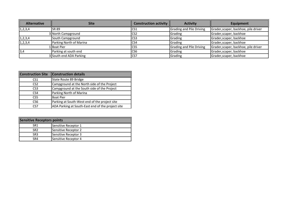| <b>Alternative</b> | <b>Site</b>             | <b>Construction activity</b> | <b>Activity</b>          | Equipment                            |
|--------------------|-------------------------|------------------------------|--------------------------|--------------------------------------|
| 1, 2, 3, 4         | <b>SR 89</b>            | CS1                          | Grading and Pile Driving | Grader, scaper, backhoe, pile driver |
|                    | 3 North Campground      | CS <sub>2</sub>              | Grading                  | Grader, scaper, backhoe              |
| 1, 2, 3, 4         | South Campground        | CS <sub>3</sub>              | Grading                  | Grader, scaper, backhoe              |
| 1, 2, 3, 4         | Parking North of Marina | ICS4                         | Grading                  | Grader, scaper, backhoe              |
|                    | 1 Boat Pier             | CS <sub>5</sub>              | Grading and Pile Driving | Grader, scaper, backhoe, pile driver |
| 3,4                | Parking at south end    | CS <sub>6</sub>              | Grading                  | Grader, scaper, backhoe              |
|                    | 3 South end ADA Parking | ics7                         | Grading                  | Grader, scaper, backhoe              |

| <b>Construction Site</b> | <b>Construction details</b>                       |
|--------------------------|---------------------------------------------------|
| CS <sub>1</sub>          | State Route 89 Bridge                             |
| CS <sub>2</sub>          | Campground at the North side of the Project       |
| CS <sub>3</sub>          | Campground at the South side of the Project       |
| CS4                      | Parking North of Marina                           |
| CS <sub>5</sub>          | <b>Boat Pier</b>                                  |
| CS <sub>6</sub>          | Parking at South-West end of the project site     |
| rs7                      | ADA Parking at South-East end of the project site |

| <b>Sensitive Receptors points</b> |                      |  |  |  |  |
|-----------------------------------|----------------------|--|--|--|--|
| SR <sub>1</sub>                   | Sensitive Receptor 1 |  |  |  |  |
| SR <sub>2</sub>                   | Sensitive Receptor 2 |  |  |  |  |
| SR <sub>3</sub>                   | Sensitive Receptor 3 |  |  |  |  |
| SR4                               | Sensitive Receptor 4 |  |  |  |  |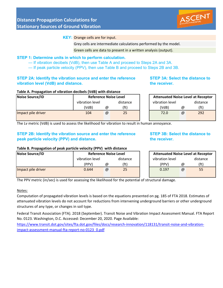

**KEY:** Orange cells are for input.

Grey cells are intermediate calculations performed by the model.

Green cells are data to present in a written analysis (output).

### **STEP 1: Determine units in which to perform calculation.**

- If vibration decibels (VdB), then use Table A and proceed to Steps 2A and 3A.
- If peak particle velocity (PPV), then use Table B and proceed to Steps 2B and 3B.

# **STEP 2A: Identify the vibration source and enter the reference vibration level (VdB) and distance.**

# **STEP 3A: Select the distance to the receiver.**

#### **Table A. Propagation of vibration decibels (VdB) with distance**

| Noise Source/ID    |                 | <b>Reference Noise Level</b> |          |  |                 |          | <b>Attenuated Noise Level at Receptor</b> |
|--------------------|-----------------|------------------------------|----------|--|-----------------|----------|-------------------------------------------|
|                    | vibration level |                              | distance |  | vibration level | distance |                                           |
|                    | (VdB)           | @                            | (ft)     |  | (VdB)           | @        | (ft)                                      |
| Impact pile driver | 104             | @                            | 25       |  | 72.0            | @        | 292                                       |

The Lv metric (VdB) is used to assess the likelihood for vibration to result in human annoyance.

# **STEP 2B: Identify the vibration source and enter the reference peak particle velocity (PPV) and distance.**

## **STEP 3B: Select the distance to the receiver.**

#### **Table B. Propagation of peak particle velocity (PPV) with distance**

| <b>TOMIC DITTO MAGNIFICITY MUNICIPAL FUNCTION (TT V)</b> WILLI MISLATIC |                              |   |          |  |                 |   |                                           |  |
|-------------------------------------------------------------------------|------------------------------|---|----------|--|-----------------|---|-------------------------------------------|--|
| Noise Source/ID                                                         | <b>Reference Noise Level</b> |   |          |  |                 |   | <b>Attenuated Noise Level at Receptor</b> |  |
|                                                                         | vibration level              |   | distance |  | vibration level |   | distance                                  |  |
|                                                                         | (PPV)                        | @ | (ft)     |  | (PPV)           | @ | (ft'                                      |  |
| Impact pile driver                                                      | 0.644                        | @ | 25       |  | 0.197           | @ | 55                                        |  |

The PPV metric (in/sec) is used for assessing the likelihood for the potential of structural damage.

Notes:

Computation of propagated vibration levels is based on the equations presented on pg. 185 of FTA 2018. Estimates of attenuated vibration levels do not account for reductions from intervening underground barriers or other underground structures of any type, or changes in soil type.

Federal Transit Association (FTA). 2018 (September). Transit Noise and Vibration Impact Assessment Manual. FTA Report No. 0123. Washington, D.C. Accessed: December 20, 2020. Page Available:

https://www.transit.dot.gov/sites/fta.dot.gov/files/docs/research-innovation/118131/transit-noise-and-vibrationimpact-assessment-manual-fta-report-no-0123\_0.pdf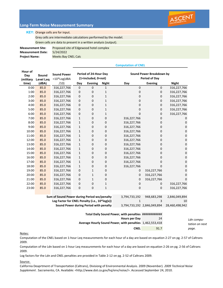

#### Long-Term Noise Measurement Summary

#### KEY: Orange cells are for input.

Grey cells are intermediate calculations performed by the model.

Green cells are data to present in a written analysis (output).

Measurement Site: Proposed site of Edgewood hotel complex

Measurement Date: 5/24/2022 Project Name: Meeks Bay CNEL Calc

| Hour of<br>Day<br>(military | Sound<br><b>Level Leq</b> | <b>Sound Power</b><br>$=10*Log(dBA)$          | Period of 24-Hour Day<br>(1=included, 0=not) |                |              | Sound Power Breakdown by<br>Period of Day |                             |                |
|-----------------------------|---------------------------|-----------------------------------------------|----------------------------------------------|----------------|--------------|-------------------------------------------|-----------------------------|----------------|
| time)                       | (dBA)                     | (10)                                          | Day                                          | <b>Evening</b> | <b>Night</b> | Day                                       | <b>Evening</b>              | <b>Night</b>   |
| 0:00                        | 85.0                      | 316,227,766                                   | $\mathbf 0$                                  | $\mathbf 0$    | $\mathbf{1}$ | 0                                         | $\mathbf 0$                 | 316,227,766    |
| 1:00                        | 85.0                      | 316,227,766                                   | 0                                            | 0              | 1            | 0                                         | 0                           | 316,227,766    |
| 2:00                        | 85.0                      | 316,227,766                                   | 0                                            | 0              | 1            | 0                                         | 0                           | 316,227,766    |
| 3:00                        | 85.0                      | 316,227,766                                   | 0                                            | 0              | 1            | 0                                         | 0                           | 316,227,766    |
| 4:00                        | 85.0                      | 316,227,766                                   | 0                                            | 0              | 1            | 0                                         | 0                           | 316,227,766    |
| 5:00                        | 85.0                      | 316,227,766                                   | 0                                            | 0              | $\mathbf{1}$ | 0                                         | 0                           | 316,227,766    |
| 6:00                        | 85.0                      | 316,227,766                                   | 0                                            | 0              | $\mathbf{1}$ | 0                                         | 0                           | 316,227,766    |
| 7:00                        | 85.0                      | 316,227,766                                   | $\mathbf{1}$                                 | 0              | 0            | 316,227,766                               | 0                           | 0              |
| 8:00                        | 85.0                      | 316,227,766                                   | $\mathbf{1}$                                 | 0              | 0            | 316,227,766                               | 0                           | 0              |
| 9:00                        | 85.0                      | 316,227,766                                   | $\mathbf{1}$                                 | 0              | 0            | 316,227,766                               | 0                           | 0              |
| 10:00                       | 85.0                      | 316,227,766                                   | $\mathbf{1}$                                 | 0              | 0            | 316,227,766                               | 0                           | 0              |
| 11:00                       | 85.0                      | 316,227,766                                   | $\mathbf{1}$                                 | 0              | 0            | 316,227,766                               | 0                           | 0              |
| 12:00                       | 85.0                      | 316,227,766                                   | $\mathbf{1}$                                 | 0              | 0            | 316,227,766                               | 0                           | 0              |
| 13:00                       | 85.0                      | 316,227,766                                   | $\mathbf{1}$                                 | 0              | 0            | 316,227,766                               | 0                           | 0              |
| 14:00                       | 85.0                      | 316,227,766                                   | $\mathbf{1}$                                 | 0              | 0            | 316,227,766                               | 0                           | 0              |
| 15:00                       | 85.0                      | 316,227,766                                   | $\mathbf{1}$                                 | 0              | 0            | 316,227,766                               | 0                           | 0              |
| 16:00                       | 85.0                      | 316,227,766                                   | $\mathbf{1}$                                 | 0              | 0            | 316,227,766                               | 0                           | 0              |
| 17:00                       | 85.0                      | 316,227,766                                   | $\mathbf{1}$                                 | 0              | 0            | 316,227,766                               | 0                           | 0              |
| 18:00                       | 85.0                      | 316,227,766                                   | $\mathbf{1}$                                 | 0              | 0            | 316,227,766                               | 0                           | 0              |
| 19:00                       | 85.0                      | 316,227,766                                   | 0                                            | $\mathbf{1}$   | 0            | $\mathbf{0}$                              | 316,227,766                 | 0              |
| 20:00                       | 85.0                      | 316,227,766                                   | 0                                            | $\mathbf{1}$   | 0            | 0                                         | 316,227,766                 | 0              |
| 21:00                       | 85.0                      | 316,227,766                                   | 0                                            | $\mathbf{1}$   | 0            | 0                                         | 316,227,766                 | 0              |
| 22:00                       | 85.0                      | 316,227,766                                   | 0                                            | 0              | 1            | 0                                         | 0                           | 316,227,766    |
| 23:00                       | 85.0                      | 316,227,766                                   | 0                                            | $\Omega$       | $\mathbf{1}$ | $\Omega$                                  | 0                           | 316,227,766    |
|                             |                           |                                               |                                              |                |              |                                           |                             |                |
|                             |                           | Sum of Sound Power during Period wo/penalty   |                                              |                |              | 3,794,733,192                             | 948,683,298                 | 2,846,049,894  |
|                             |                           | Log Factor for CNEL Penalty (i.e., 10*log(x)) |                                              |                |              | 1                                         | 3                           | 10             |
|                             |                           | Sound Power during Period with penalty        |                                              |                |              |                                           | 3,794,733,192 2,846,049,894 | 28,460,498,942 |
|                             |                           |                                               |                                              |                |              |                                           |                             |                |

Computation of CNEL

| Hours per Day                                            | 24   | Ldn compu-     |
|----------------------------------------------------------|------|----------------|
| Average Hourly Sound Power, with penalties 1,462,553,418 |      | tation on next |
| CNEL                                                     | 91.7 | page.          |

#### Notes:

Computation of the CNEL based on 1-hour Leq measurements for each hour of a day are based on equation 2-27 on pg. 2-57 of Caltrans 2009.

Computation of the Ldn based on 1-hour Leq measurements for each hour of a day are based on equation 2-26 on pg. 2-56 of Caltrans 2009.

Log factors for the Ldn and CNEL penalties are provided in Table 2-12 on pg. 2-52 of Caltrans 2009.

#### Source:

California Deaprtment of Transportation (Caltrans), Divisiong of Environmental Analysis. 2009 (November). 2009 Technical Noise Supplement . Sacramento, CA. Available: <http://www.dot.ca.gov/hq/env/noise/>. Accessed September 24, 2010.